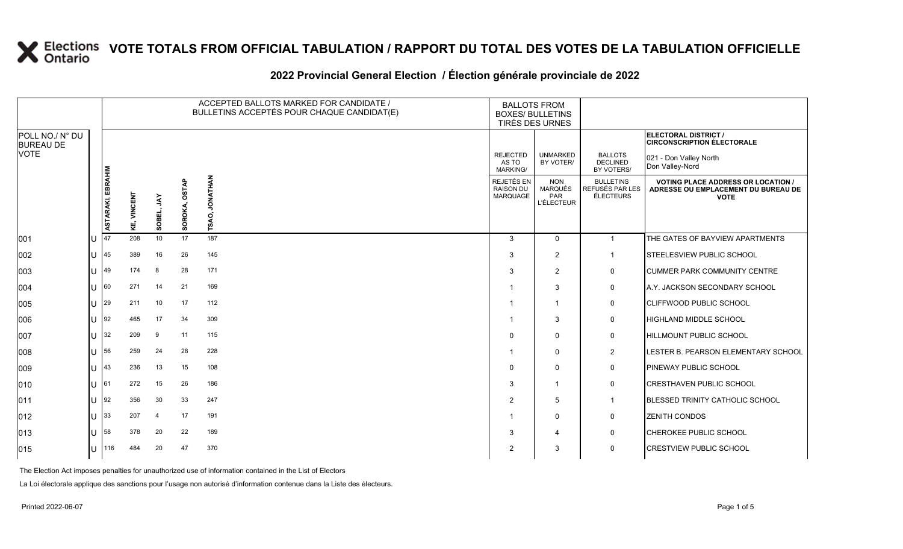#### 2022 Provincial General Election / Election générale provinciale de 2022

|                                     |                |                   |                |                |                 | ACCEPTED BALLOTS MARKED FOR CANDIDATE /<br>BULLETINS ACCEPTÉS POUR CHAQUE CANDIDAT(E) | <b>BALLOTS FROM</b><br><b>BOXES/ BULLETINS</b><br>TIRÉS DES URNES |                                                                 |                                                  |                                                                                                 |
|-------------------------------------|----------------|-------------------|----------------|----------------|-----------------|---------------------------------------------------------------------------------------|-------------------------------------------------------------------|-----------------------------------------------------------------|--------------------------------------------------|-------------------------------------------------------------------------------------------------|
| POLL NO./ N° DU<br><b>BUREAU DE</b> |                |                   |                |                |                 |                                                                                       |                                                                   |                                                                 |                                                  | ELECTORAL DISTRICT /<br><b>CIRCONSCRIPTION ÉLECTORALE</b>                                       |
| VOTE                                |                |                   |                |                |                 |                                                                                       | <b>REJECTED</b><br>AS TO<br><b>MARKING/</b>                       | <b>UNMARKED</b><br>BY VOTER/                                    | <b>BALLOTS</b><br><b>DECLINED</b><br>BY VOTERS/  | 021 - Don Valley North<br>Don Valley-Nord                                                       |
|                                     |                | ASTARAKI, EBRAHIM | VINCENT<br>KE, | š<br>핆<br>នី   | OSTAP<br>SOROKA | <b>JONATHAN</b><br>SAO,<br>⊢                                                          | <b>REJETÉS EN</b><br><b>RAISON DU</b><br><b>MARQUAGE</b>          | <b>NON</b><br><b>MARQUÉS</b><br><b>PAR</b><br><b>L'ÉLECTEUR</b> | <b>BULLETINS</b><br>REFUSÉS PAR LES<br>ÉLECTEURS | <b>VOTING PLACE ADDRESS OR LOCATION /</b><br>ADRESSE OU EMPLACEMENT DU BUREAU DE<br><b>VOTE</b> |
| 001                                 |                | 47                | 208            | 10             | 17              | 187                                                                                   | 3                                                                 | $\Omega$                                                        | $\mathbf{1}$                                     | THE GATES OF BAYVIEW APARTMENTS                                                                 |
| 002                                 |                | 45                | 389            | 16             | 26              | 145                                                                                   | 3                                                                 | $\overline{2}$                                                  | $\mathbf{1}$                                     | <b>STEELESVIEW PUBLIC SCHOOL</b>                                                                |
| 003                                 | $\mathbf{H}$   | 49                | 174            | 8              | 28              | 171                                                                                   | 3                                                                 | $\overline{2}$                                                  | 0                                                | <b>CUMMER PARK COMMUNITY CENTRE</b>                                                             |
| 004                                 |                | 60                | 271            | 14             | 21              | 169                                                                                   |                                                                   | 3                                                               | 0                                                | A.Y. JACKSON SECONDARY SCHOOL                                                                   |
| 005                                 | $\mathbf{U}$   | 29                | 211            | 10             | 17              | 112                                                                                   | -1                                                                | $\mathbf 1$                                                     | 0                                                | <b>CLIFFWOOD PUBLIC SCHOOL</b>                                                                  |
| 006                                 |                | 92                | 465            | 17             | 34              | 309                                                                                   | -1                                                                | 3                                                               | 0                                                | HIGHLAND MIDDLE SCHOOL                                                                          |
| 007                                 |                | 32                | 209            | 9              | 11              | 115                                                                                   | $\Omega$                                                          | $\mathbf{0}$                                                    | $\mathbf 0$                                      | <b>HILLMOUNT PUBLIC SCHOOL</b>                                                                  |
| 008                                 | $\mathbf{U}$   | 56                | 259            | 24             | 28              | 228                                                                                   | -1                                                                | $\Omega$                                                        | $\overline{c}$                                   | LESTER B. PEARSON ELEMENTARY SCHOOL                                                             |
| 009                                 | $\blacksquare$ | 43                | 236            | 13             | 15              | 108                                                                                   | $\Omega$                                                          | $\mathbf{0}$                                                    | 0                                                | PINEWAY PUBLIC SCHOOL                                                                           |
| 010                                 |                | 161               | 272            | 15             | 26              | 186                                                                                   | 3                                                                 | $\mathbf 1$                                                     | 0                                                | <b>CRESTHAVEN PUBLIC SCHOOL</b>                                                                 |
| 011                                 | $\mathbf{U}$   | 92                | 356            | 30             | 33              | 247                                                                                   | $\overline{2}$                                                    | 5                                                               | $\mathbf{1}$                                     | <b>BLESSED TRINITY CATHOLIC SCHOOL</b>                                                          |
| 012                                 | $\mathbf{H}$   | 33                | 207            | $\overline{4}$ | 17              | 191                                                                                   | -1                                                                | $\Omega$                                                        | 0                                                | <b>ZENITH CONDOS</b>                                                                            |
| 013                                 |                | 58                | 378            | 20             | 22              | 189                                                                                   | 3                                                                 | 4                                                               | $\mathsf{O}$                                     | <b>CHEROKEE PUBLIC SCHOOL</b>                                                                   |
| 015                                 | 41.            | 116               | 484            | 20             | 47              | 370                                                                                   | 2                                                                 | 3                                                               | 0                                                | <b>CRESTVIEW PUBLIC SCHOOL</b>                                                                  |

The Election Act imposes penalties for unauthorized use of information contained in the List of Electors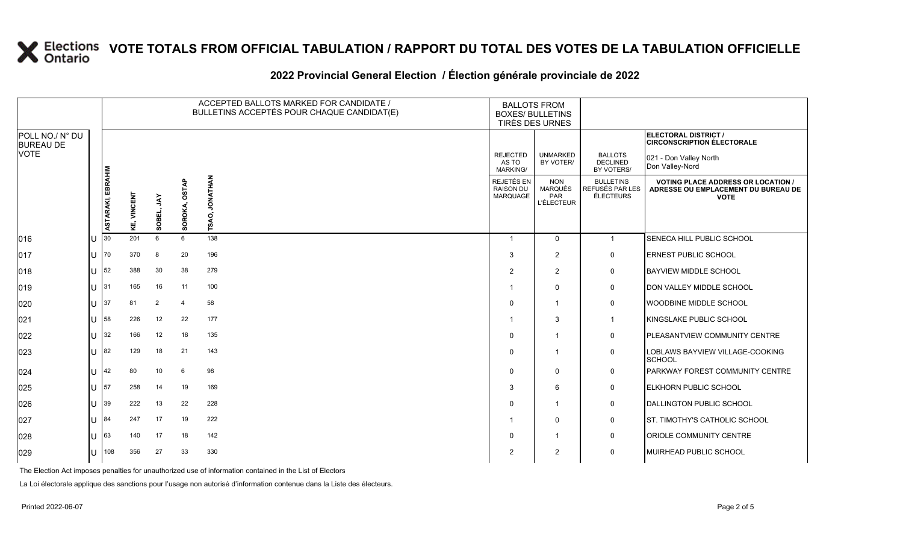### **2022 Provincial General Election / Élection générale provinciale de 2022**

|                                     |      |                          |                    |                |                  | ACCEPTED BALLOTS MARKED FOR CANDIDATE /<br><b>BALLOTS FROM</b><br>BULLETINS ACCEPTÉS POUR CHAQUE CANDIDAT(E)<br><b>BOXES/ BULLETINS</b><br>TIRÉS DES URNES |                                            |                                                   |                                                  |                                                                                                 |
|-------------------------------------|------|--------------------------|--------------------|----------------|------------------|------------------------------------------------------------------------------------------------------------------------------------------------------------|--------------------------------------------|---------------------------------------------------|--------------------------------------------------|-------------------------------------------------------------------------------------------------|
| POLL NO./ N° DU<br><b>BUREAU DE</b> |      |                          |                    |                |                  |                                                                                                                                                            |                                            |                                                   |                                                  | ELECTORAL DISTRICT /<br><b>CIRCONSCRIPTION ÉLECTORALE</b>                                       |
| <b>VOTE</b>                         |      |                          |                    |                |                  |                                                                                                                                                            | <b>REJECTED</b><br>AS TO<br>MARKING/       | <b>UNMARKED</b><br>BY VOTER/                      | <b>BALLOTS</b><br><b>DECLINED</b><br>BY VOTERS/  | 021 - Don Valley North<br>Don Valley-Nord                                                       |
|                                     |      | <b>ASTARAKI, EBRAHIM</b> | <b>KE, VINCENT</b> | YAL<br>SOBEL   | OSTAP<br>SOROKA, | <b>JONATHAN</b><br>õ<br>TSA                                                                                                                                | REJETÉS EN<br><b>RAISON DU</b><br>MARQUAGE | <b>NON</b><br><b>MARQUÉS</b><br>PAR<br>L'ÉLECTEUR | <b>BULLETINS</b><br>REFUSÉS PAR LES<br>ÉLECTEURS | <b>VOTING PLACE ADDRESS OR LOCATION /</b><br>ADRESSE OU EMPLACEMENT DU BUREAU DE<br><b>VOTE</b> |
| 016                                 | ΙU   | 30                       | 201                | 6              | 6                | 138                                                                                                                                                        | -1                                         | $\mathbf 0$                                       | $\overline{1}$                                   | SENECA HILL PUBLIC SCHOOL                                                                       |
| 017                                 | lU.  | 70                       | 370                | 8              | 20               | 196                                                                                                                                                        | 3                                          | $\overline{2}$                                    | $\mathsf{O}$                                     | <b>ERNEST PUBLIC SCHOOL</b>                                                                     |
| 018                                 | ΙU   | 52                       | 388                | 30             | 38               | 279                                                                                                                                                        | $\overline{2}$                             | 2                                                 | 0                                                | <b>BAYVIEW MIDDLE SCHOOL</b>                                                                    |
| 019                                 | U 31 |                          | 165                | 16             | 11               | 100                                                                                                                                                        |                                            | $\mathbf{0}$                                      | 0                                                | DON VALLEY MIDDLE SCHOOL                                                                        |
| 020                                 | ΙU   | 37                       | 81                 | $\overline{2}$ | 4                | 58                                                                                                                                                         | $\Omega$                                   | $\overline{1}$                                    | $\mathsf{O}$                                     | WOODBINE MIDDLE SCHOOL                                                                          |
| 021                                 | lU.  | 58                       | 226                | 12             | 22               | 177                                                                                                                                                        |                                            | 3                                                 | $\overline{1}$                                   | KINGSLAKE PUBLIC SCHOOL                                                                         |
| 022                                 | IU.  | 32                       | 166                | 12             | 18               | 135                                                                                                                                                        | $\Omega$                                   | $\overline{\mathbf{1}}$                           | $\mathsf{O}$                                     | PLEASANTVIEW COMMUNITY CENTRE                                                                   |
| 023                                 | ΙU   | 82                       | 129                | 18             | 21               | 143                                                                                                                                                        | $\Omega$                                   | $\overline{\mathbf{1}}$                           | $\mathbf 0$                                      | LOBLAWS BAYVIEW VILLAGE-COOKING<br><b>SCHOOL</b>                                                |
| 024                                 | IU   | 42                       | 80                 | 10             | 6                | 98                                                                                                                                                         | $\Omega$                                   | $\mathbf 0$                                       | $\mathbf 0$                                      | PARKWAY FOREST COMMUNITY CENTRE                                                                 |
| 025                                 | IU.  | 57                       | 258                | 14             | 19               | 169                                                                                                                                                        | 3                                          | 6                                                 | $\mathsf{O}$                                     | <b>ELKHORN PUBLIC SCHOOL</b>                                                                    |
| 026                                 | IU.  | 39                       | 222                | 13             | 22               | 228                                                                                                                                                        | $\Omega$                                   | $\overline{\mathbf{1}}$                           | $\mathsf{O}$                                     | DALLINGTON PUBLIC SCHOOL                                                                        |
| 027                                 | ΙU   | 84                       | 247                | 17             | 19               | 222                                                                                                                                                        |                                            | $\mathbf 0$                                       | $\mathbf 0$                                      | ST. TIMOTHY'S CATHOLIC SCHOOL                                                                   |
| 028                                 | lU.  | 63                       | 140                | 17             | 18               | 142                                                                                                                                                        | $\Omega$                                   | $\overline{\mathbf{1}}$                           | 0                                                | <b>ORIOLE COMMUNITY CENTRE</b>                                                                  |
| 029                                 | IU   | 108                      | 356                | 27             | 33               | 330                                                                                                                                                        | 2                                          | $\overline{2}$                                    | $\mathbf 0$                                      | MUIRHEAD PUBLIC SCHOOL                                                                          |

The Election Act imposes penalties for unauthorized use of information contained in the List of Electors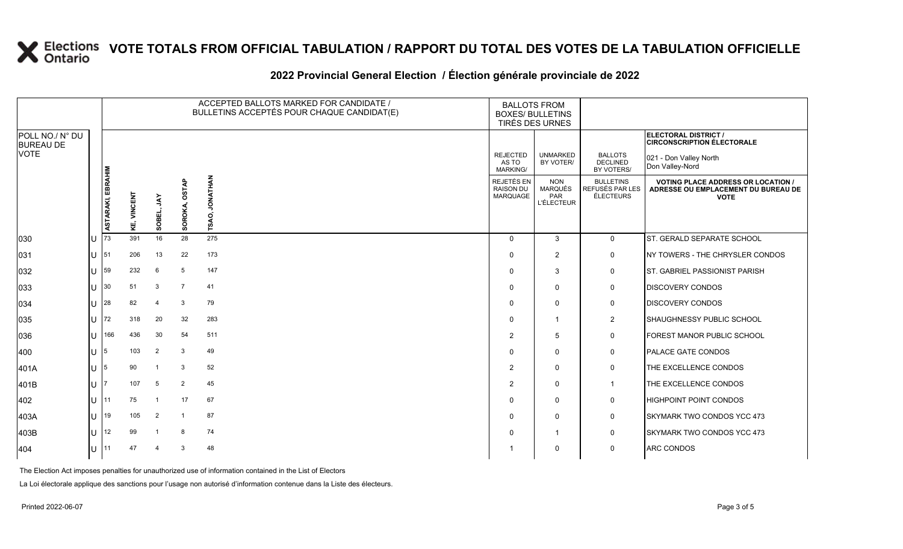### **2022 Provincial General Election / Élection générale provinciale de 2022**

|                                     |     |                          |                    |                          | ACCEPTED BALLOTS MARKED FOR CANDIDATE /<br><b>BALLOTS FROM</b><br>BULLETINS ACCEPTÉS POUR CHAQUE CANDIDAT(E)<br><b>BOXES/ BULLETINS</b><br>TIRÉS DES URNES |                         |                                             |                                                          |                                                         |                                                                                                 |
|-------------------------------------|-----|--------------------------|--------------------|--------------------------|------------------------------------------------------------------------------------------------------------------------------------------------------------|-------------------------|---------------------------------------------|----------------------------------------------------------|---------------------------------------------------------|-------------------------------------------------------------------------------------------------|
| POLL NO./ N° DU<br><b>BUREAU DE</b> |     |                          |                    |                          |                                                                                                                                                            |                         |                                             |                                                          |                                                         | ELECTORAL DISTRICT /<br><b>CIRCONSCRIPTION ÉLECTORALE</b>                                       |
| <b>VOTE</b>                         |     |                          |                    |                          |                                                                                                                                                            |                         | <b>REJECTED</b><br>AS TO<br><b>MARKING/</b> | <b>UNMARKED</b><br>BY VOTER/                             | <b>BALLOTS</b><br><b>DECLINED</b><br>BY VOTERS/         | 021 - Don Valley North<br>Don Valley-Nord                                                       |
|                                     |     | <b>ASTARAKI, EBRAHIM</b> | <b>KE, VINCENT</b> | š<br>SOBEL               | OSTAP<br>SOROKA                                                                                                                                            | <b>JONATHAN</b><br>SAO, | REJETÉS EN<br><b>RAISON DU</b><br>MARQUAGE  | <b>NON</b><br><b>MARQUÉS</b><br>PAR<br><b>L'ÉLECTEUR</b> | <b>BULLETINS</b><br>REFUSÉS PAR LES<br><b>ÉLECTEURS</b> | <b>VOTING PLACE ADDRESS OR LOCATION /</b><br>ADRESSE OU EMPLACEMENT DU BUREAU DE<br><b>VOTE</b> |
| 030                                 | IU  | 73                       | 391                | 16                       | 28                                                                                                                                                         | 275                     | $\Omega$                                    | 3                                                        | $\mathbf 0$                                             | ST. GERALD SEPARATE SCHOOL                                                                      |
| 031                                 | IU. | 51                       | 206                | 13                       | 22                                                                                                                                                         | 173                     | $\Omega$                                    | $\overline{2}$                                           | 0                                                       | NY TOWERS - THE CHRYSLER CONDOS                                                                 |
| 032                                 | lU  | 59                       | 232                | 6                        | 5                                                                                                                                                          | 147                     | $\Omega$                                    | 3                                                        | $\mathbf 0$                                             | ST. GABRIEL PASSIONIST PARISH                                                                   |
| 033                                 | ΙU  | 30                       | 51                 | 3                        | $\overline{7}$                                                                                                                                             | 41                      | $\Omega$                                    | $\mathbf 0$                                              | 0                                                       | <b>DISCOVERY CONDOS</b>                                                                         |
| 034                                 | lU. | 28                       | 82                 | $\overline{4}$           | -3                                                                                                                                                         | 79                      | $\Omega$                                    | $\mathbf 0$                                              | 0                                                       | <b>DISCOVERY CONDOS</b>                                                                         |
| 035                                 | ΙU  | 72                       | 318                | 20                       | 32                                                                                                                                                         | 283                     | $\Omega$                                    | -1                                                       | $\overline{2}$                                          | SHAUGHNESSY PUBLIC SCHOOL                                                                       |
| 036                                 | lU  | 166                      | 436                | 30                       | 54                                                                                                                                                         | 511                     | 2                                           | 5                                                        | 0                                                       | FOREST MANOR PUBLIC SCHOOL                                                                      |
| 400                                 | IU. | 15                       | 103                | $\overline{2}$           | 3                                                                                                                                                          | 49                      | $\Omega$                                    | $\mathbf{0}$                                             | 0                                                       | <b>PALACE GATE CONDOS</b>                                                                       |
| 401A                                | IU. | 15                       | 90                 | -1                       | -3                                                                                                                                                         | 52                      | 2                                           | $\mathbf 0$                                              | 0                                                       | THE EXCELLENCE CONDOS                                                                           |
| 401B                                | IU. |                          | 107                | 5                        | $\overline{2}$                                                                                                                                             | 45                      | 2                                           | $\mathbf 0$                                              | $\overline{1}$                                          | THE EXCELLENCE CONDOS                                                                           |
| 402                                 | ΙU  | 11                       | 75                 | $\overline{\phantom{a}}$ | 17                                                                                                                                                         | 67                      | $\Omega$                                    | $\mathbf 0$                                              | 0                                                       | HIGHPOINT POINT CONDOS                                                                          |
| 403A                                | ΙU  | 19                       | 105                | $\overline{2}$           |                                                                                                                                                            | 87                      | $\Omega$                                    | $\mathbf 0$                                              | 0                                                       | <b>SKYMARK TWO CONDOS YCC 473</b>                                                               |
| 403B                                | lU  | 12                       | 99                 | $\overline{\mathbf{1}}$  | -8                                                                                                                                                         | 74                      | $\Omega$                                    | $\overline{1}$                                           | $\mathbf 0$                                             | <b>SKYMARK TWO CONDOS YCC 473</b>                                                               |
| 404                                 | lU. | 11                       | 47                 | 4                        | 3                                                                                                                                                          | 48                      |                                             | $\mathbf 0$                                              | 0                                                       | ARC CONDOS                                                                                      |

The Election Act imposes penalties for unauthorized use of information contained in the List of Electors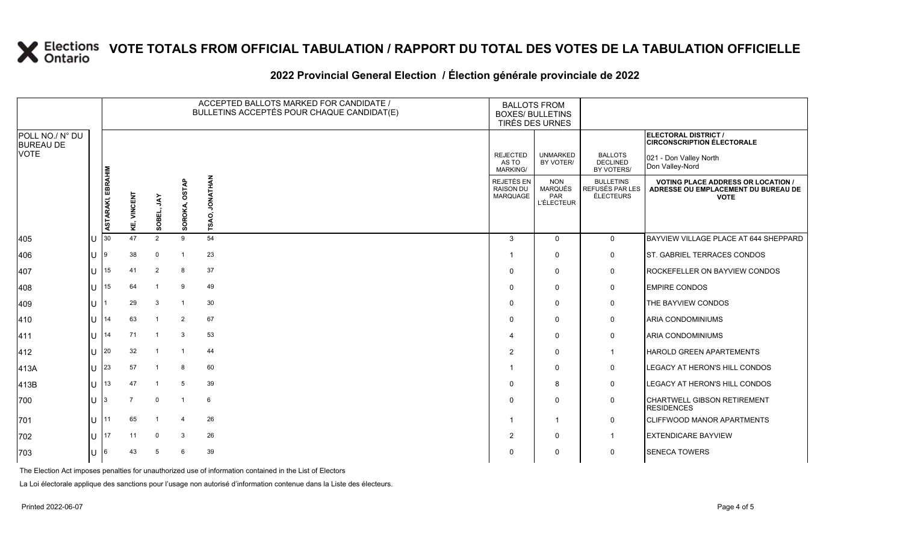### **2022 Provincial General Election / Élection générale provinciale de 2022**

|                                     |       |                   |                    |                |                  | ACCEPTED BALLOTS MARKED FOR CANDIDATE /<br>BULLETINS ACCEPTÉS POUR CHAQUE CANDIDAT(E) | <b>BALLOTS FROM</b><br><b>BOXES/ BULLETINS</b><br>TIRÉS DES URNES |                                                          |                                                  |                                                                                                 |
|-------------------------------------|-------|-------------------|--------------------|----------------|------------------|---------------------------------------------------------------------------------------|-------------------------------------------------------------------|----------------------------------------------------------|--------------------------------------------------|-------------------------------------------------------------------------------------------------|
| POLL NO./ N° DU<br><b>BUREAU DE</b> |       |                   |                    |                |                  |                                                                                       |                                                                   |                                                          |                                                  | ELECTORAL DISTRICT /<br><b>CIRCONSCRIPTION ÉLECTORALE</b>                                       |
| VOTE                                |       |                   |                    |                |                  |                                                                                       | <b>REJECTED</b><br>AS TO<br>MARKING/                              | <b>UNMARKED</b><br>BY VOTER/                             | <b>BALLOTS</b><br><b>DECLINED</b><br>BY VOTERS/  | 021 - Don Valley North<br>Don Valley-Nord                                                       |
|                                     |       | ASTARAKI, EBRAHIM | <b>KE, VINCENT</b> | ΧÁΓ<br>SOBEL,  | OSTAP<br>SOROKA, | <b>JONATHAN</b><br>TSAO,                                                              | REJETÉS EN<br><b>RAISON DU</b><br>MARQUAGE                        | <b>NON</b><br><b>MARQUÉS</b><br>PAR<br><b>L'ÉLECTEUR</b> | <b>BULLETINS</b><br>REFUSÉS PAR LES<br>ÉLECTEURS | <b>VOTING PLACE ADDRESS OR LOCATION /</b><br>ADRESSE OU EMPLACEMENT DU BUREAU DE<br><b>VOTE</b> |
| 405                                 |       | 30                | 47                 | 2              | 9                | 54                                                                                    | 3                                                                 | $\Omega$                                                 | $\overline{0}$                                   | BAYVIEW VILLAGE PLACE AT 644 SHEPPARD                                                           |
| 406                                 |       |                   | 38                 | $\mathbf 0$    | $\overline{1}$   | 23                                                                                    | -1                                                                | $\Omega$                                                 | $\mathbf 0$                                      | ST. GABRIEL TERRACES CONDOS                                                                     |
| 407                                 |       | 15                | 41                 | $\overline{2}$ | 8                | 37                                                                                    | $\Omega$                                                          | $\Omega$                                                 | 0                                                | ROCKEFELLER ON BAYVIEW CONDOS                                                                   |
| 408                                 | U     | 15                | 64                 | $\overline{1}$ | 9                | 49                                                                                    | $\Omega$                                                          | $\Omega$                                                 | 0                                                | <b>EMPIRE CONDOS</b>                                                                            |
| 409                                 |       |                   | 29                 | $\mathbf{3}$   | $\overline{1}$   | 30                                                                                    | $\Omega$                                                          | $\mathbf 0$                                              | 0                                                | THE BAYVIEW CONDOS                                                                              |
| 410                                 |       | 14                | 63                 | $\overline{1}$ | $\overline{2}$   | 67                                                                                    | $\Omega$                                                          | $\Omega$                                                 | $\mathbf 0$                                      | <b>ARIA CONDOMINIUMS</b>                                                                        |
| 411                                 | $U$ : | 14                | 71                 | $\overline{1}$ | 3                | 53                                                                                    | 4                                                                 | $\Omega$                                                 | 0                                                | <b>ARIA CONDOMINIUMS</b>                                                                        |
| 412                                 |       | $11$ 20           | 32                 | $\overline{1}$ |                  | 44                                                                                    | 2                                                                 | $\Omega$                                                 | $\mathbf{1}$                                     | HAROLD GREEN APARTEMENTS                                                                        |
| 413A                                | U     | 23                | 57                 | $\overline{1}$ | 8                | 60                                                                                    | -1                                                                | $\Omega$                                                 | $\mathbf 0$                                      | LEGACY AT HERON'S HILL CONDOS                                                                   |
| 413B                                | U     | 13                | 47                 | -1             | 5                | 39                                                                                    | $\Omega$                                                          | 8                                                        | 0                                                | LEGACY AT HERON'S HILL CONDOS                                                                   |
| 700                                 | U     |                   | 7                  | $\mathbf 0$    | $\overline{1}$   | 6                                                                                     | $\Omega$                                                          | $\Omega$                                                 | $\mathbf 0$                                      | CHARTWELL GIBSON RETIREMENT<br><b>RESIDENCES</b>                                                |
| 701                                 |       | $U$ 111           | 65                 | $\overline{1}$ | $\overline{4}$   | 26                                                                                    | -1                                                                | $\overline{1}$                                           | $\mathbf 0$                                      | <b>CLIFFWOOD MANOR APARTMENTS</b>                                                               |
| 702                                 |       | I 17              | 11                 | $\mathbf 0$    | 3                | 26                                                                                    | 2                                                                 | $\Omega$                                                 | $\mathbf{1}$                                     | <b>EXTENDICARE BAYVIEW</b>                                                                      |
| 703                                 |       | 16.               | 43                 | -5             | 6                | 39                                                                                    | $\Omega$                                                          | $\mathbf{0}$                                             | 0                                                | <b>SENECA TOWERS</b>                                                                            |

The Election Act imposes penalties for unauthorized use of information contained in the List of Electors